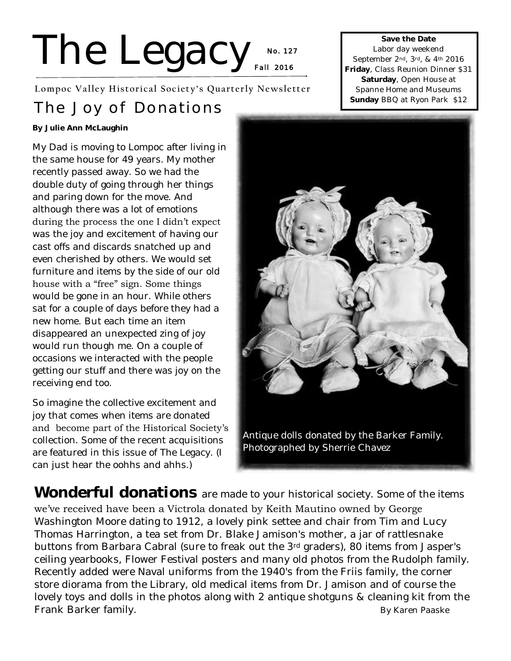# The Legacy No.12 **No. 1 27**

**Lompoc Valley Historical Society's Quarterly Newsletter**

## **The Joy of Donations**

**By Julie Ann McLaughin**

My Dad is moving to Lompoc after living in the same house for 49 years. My mother recently passed away. So we had the double duty of going through her things and paring down for the move. And although there was a lot of emotions during the process the one I didn't expect was the joy and excitement of having our cast offs and discards snatched up and even cherished by others. We would set furniture and items by the side of our old house with a "free" sign. Some things would be gone in an hour. While others sat for a couple of days before they had a new home. But each time an item disappeared an unexpected zing of joy would run though me. On a couple of occasions we interacted with the people getting our stuff and there was joy on the receiving end too.

So imagine the collective excitement and joy that comes when items are donated and become part of the Historical Society's collection. Some of the recent acquisitions are featured in this issue of The Legacy. (I can just hear the oohhs and ahhs.)

**Save the Date**  Labor day weekend September 2nd, 3rd, & 4th 2016 **Friday**, Class Reunion Dinner \$31 **Saturday**, Open House at Spanne Home and Museums **Sunday** BBQ at Ryon Park \$12



**Wonderful donations** are made to your historical society. Some of the items we've received have been a Victrola donated by Keith Mautino owned by George Washington Moore dating to 1912, a lovely pink settee and chair from Tim and Lucy Thomas Harrington, a tea set from Dr. Blake Jamison's mother, a jar of rattlesnake buttons from Barbara Cabral (sure to freak out the 3rd graders), 80 items from Jasper's ceiling yearbooks, Flower Festival posters and many old photos from the Rudolph family. Recently added were Naval uniforms from the 1940's from the Friis family, the corner store diorama from the Library, old medical items from Dr. Jamison and of course the lovely toys and dolls in the photos along with 2 antique shotguns & cleaning kit from the Frank Barker family. By Karen Paaske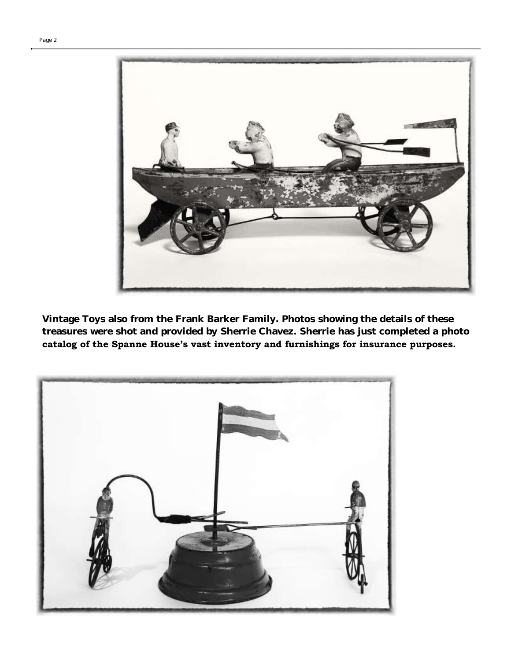



**Vintage Toys also from the Frank Barker Family. Photos showing the details of these treasures were shot and provided by Sherrie Chavez. Sherrie has just completed a photo catalog of the Spanne House's vast inventory and furnishings for insurance purposes.**

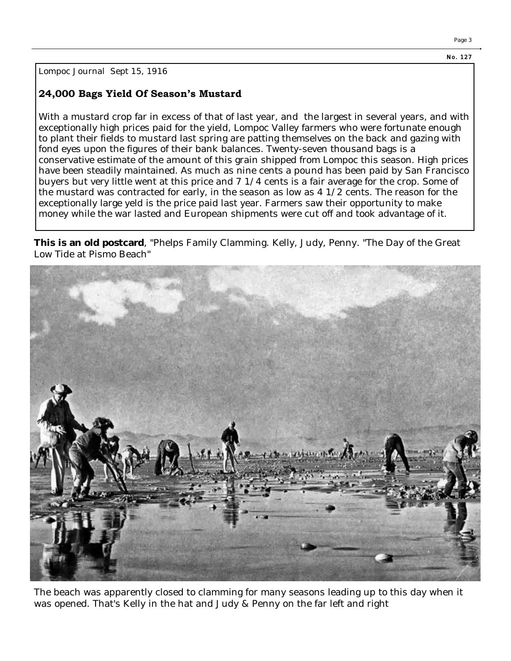**N o. 127** 

Page 3

Lompoc Journal Sept 15, 1916

### **24,000 Bags Yield Of Season's Mustard**

With a mustard crop far in excess of that of last year, and the largest in several years, and with exceptionally high prices paid for the yield, Lompoc Valley farmers who were fortunate enough to plant their fields to mustard last spring are patting themselves on the back and gazing with fond eyes upon the figures of their bank balances. Twenty-seven thousand bags is a conservative estimate of the amount of this grain shipped from Lompoc this season. High prices have been steadily maintained. As much as nine cents a pound has been paid by San Francisco buyers but very little went at this price and 7 1/4 cents is a fair average for the crop. Some of the mustard was contracted for early, in the season as low as 4 1/2 cents. The reason for the exceptionally large yeld is the price paid last year. Farmers saw their opportunity to make money while the war lasted and European shipments were cut off and took advantage of it.

**This is an old postcard**, "Phelps Family Clamming. Kelly, Judy, Penny. "The Day of the Great Low Tide at Pismo Beach"



The beach was apparently closed to clamming for many seasons leading up to this day when it was opened. That's Kelly in the hat and Judy & Penny on the far left and right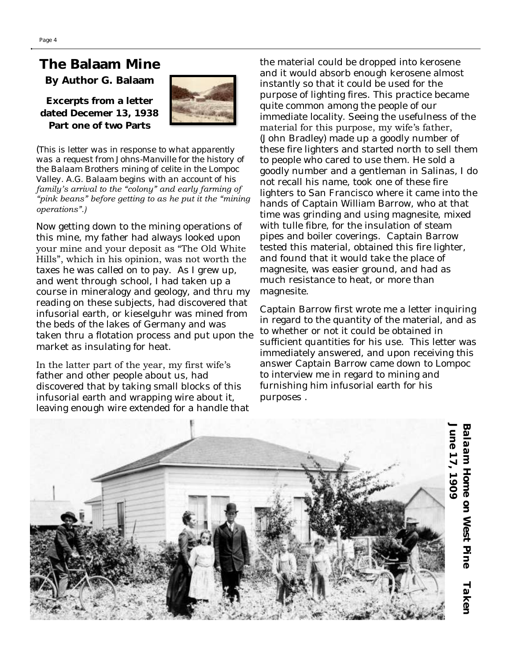## **The Balaam Mine**

**By Author G. Balaam**

**Excerpts from a letter dated Decemer 13, 1938 Part one of two Parts**



(*This is letter was in response to what apparently was a request from Johns-Manville for the history of the Balaam Brothers mining of celite in the Lompoc Valley. A.G. Balaam begins with an account of his family's arrival to the "colony" and early farming of "pink beans" before getting to as he put it the "mining operations".)*

Now getting down to the mining operations of this mine, my father had always looked upon your mine and your deposit as "The Old White Hills", which in his opinion, was not worth the taxes he was called on to pay. As I grew up, and went through school, I had taken up a course in mineralogy and geology, and thru my reading on these subjects, had discovered that infusorial earth, or kieselguhr was mined from the beds of the lakes of Germany and was taken thru a flotation process and put upon the market as insulating for heat.

In the latter part of the year, my first wife's father and other people about us, had discovered that by taking small blocks of this infusorial earth and wrapping wire about it, leaving enough wire extended for a handle that the material could be dropped into kerosene and it would absorb enough kerosene almost instantly so that it could be used for the purpose of lighting fires. This practice became quite common among the people of our immediate locality. Seeing the usefulness of the material for this purpose, my wife's father, (John Bradley) made up a goodly number of these fire lighters and started north to sell them to people who cared to use them. He sold a goodly number and a gentleman in Salinas, I do not recall his name, took one of these fire lighters to San Francisco where it came into the hands of Captain William Barrow, who at that time was grinding and using magnesite, mixed with tulle fibre, for the insulation of steam pipes and boiler coverings. Captain Barrow tested this material, obtained this fire lighter, and found that it would take the place of magnesite, was easier ground, and had as much resistance to heat, or more than magnesite.

Captain Barrow first wrote me a letter inquiring in regard to the quantity of the material, and as to whether or not it could be obtained in sufficient quantities for his use. This letter was immediately answered, and upon receiving this answer Captain Barrow came down to Lompoc to interview me in regard to mining and furnishing him infusorial earth for his purposes .



*June 17, 1909*  Balaam Home on West Pine *Balaam Home on West Pine Taken*  June 17, 1909 Taken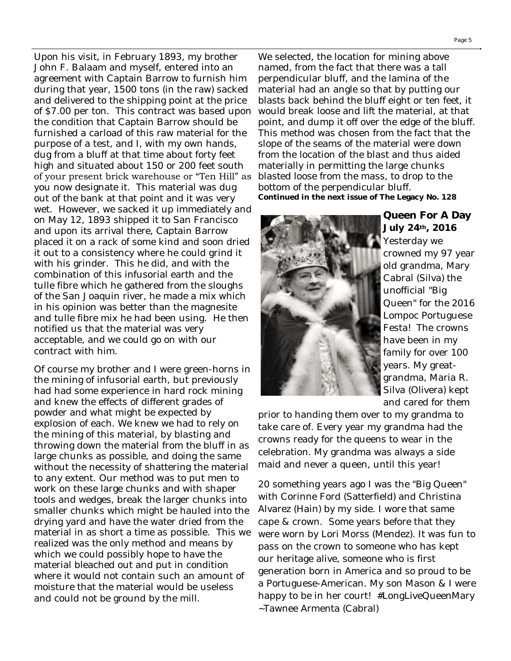Upon his visit, in February 1893, my brother John F. Balaam and myself, entered into an agreement with Captain Barrow to furnish him during that year, 1500 tons (in the raw) sacked and delivered to the shipping point at the price of \$7.00 per ton. This contract was based upon the condition that Captain Barrow should be furnished a carload of this raw material for the purpose of a test, and I, with my own hands, dug from a bluff at that time about forty feet high and situated about 150 or 200 feet south of your present brick warehouse or "Ten Hill" as you now designate it. This material was dug out of the bank at that point and it was very wet. However, we sacked it up immediately and on May 12, 1893 shipped it to San Francisco and upon its arrival there, Captain Barrow placed it on a rack of some kind and soon dried it out to a consistency where he could grind it with his grinder. This he did, and with the combination of this infusorial earth and the tulle fibre which he gathered from the sloughs of the San Joaquin river, he made a mix which in his opinion was better than the magnesite and tulle fibre mix he had been using. He then notified us that the material was very acceptable, and we could go on with our contract with him.

Of course my brother and I were green-horns in the mining of infusorial earth, but previously had had some experience in hard rock mining and knew the effects of different grades of powder and what might be expected by explosion of each. We knew we had to rely on the mining of this material, by blasting and throwing down the material from the bluff in as large chunks as possible, and doing the same without the necessity of shattering the material to any extent. Our method was to put men to work on these large chunks and with shaper tools and wedges, break the larger chunks into smaller chunks which might be hauled into the drying yard and have the water dried from the material in as short a time as possible. This we realized was the only method and means by which we could possibly hope to have the material bleached out and put in condition where it would not contain such an amount of moisture that the material would be useless and could not be ground by the mill.

We selected, the location for mining above named, from the fact that there was a tall perpendicular bluff, and the lamina of the material had an angle so that by putting our blasts back behind the bluff eight or ten feet, it would break loose and lift the material, at that point, and dump it off over the edge of the bluff. This method was chosen from the fact that the slope of the seams of the material were down from the location of the blast and thus aided materially in permitting the large chunks blasted loose from the mass, to drop to the bottom of the perpendicular bluff. **Continued in the next issue of The Legacy No. 128**



**Queen For A Day July 24th, 2016**  Yesterday we crowned my 97 year old grandma, Mary Cabral (Silva) the unofficial "Big Queen" for the 2016 Lompoc Portuguese Festa! The crowns have been in my family for over 100 years. My greatgrandma, Maria R. Silva (Olivera) kept and cared for them

prior to handing them over to my grandma to take care of. Every year my grandma had the crowns ready for the queens to wear in the celebration. My grandma was always a side maid and never a queen, until this year!

20 something years ago I was the "Big Queen" with Corinne Ford (Satterfield) and Christina Alvarez (Hain) by my side. I wore that same cape & crown. Some years before that they were worn by Lori Morss (Mendez). It was fun to pass on the crown to someone who has kept our heritage alive, someone who is first generation born in America and so proud to be a Portuguese-American. My son Mason & I were happy to be in her court! #LongLiveQueenMary ~Tawnee Armenta (Cabral)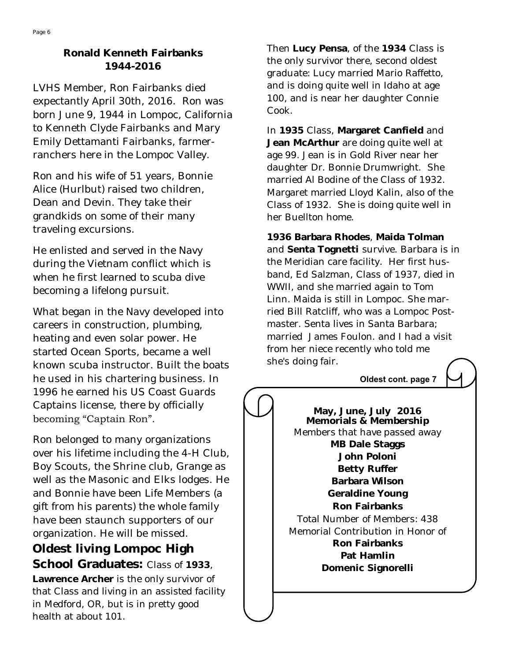## **Ronald Kenneth Fairbanks 1944-2016**

LVHS Member, Ron Fairbanks died expectantly April 30th, 2016. Ron was born June 9, 1944 in Lompoc, California to Kenneth Clyde Fairbanks and Mary Emily Dettamanti Fairbanks, farmerranchers here in the Lompoc Valley.

Ron and his wife of 51 years, Bonnie Alice (Hurlbut) raised two children, Dean and Devin. They take their grandkids on some of their many traveling excursions.

He enlisted and served in the Navy during the Vietnam conflict which is when he first learned to scuba dive becoming a lifelong pursuit.

What began in the Navy developed into careers in construction, plumbing, heating and even solar power. He started Ocean Sports, became a well known scuba instructor. Built the boats he used in his chartering business. In 1996 he earned his US Coast Guards Captains license, there by officially becoming "Captain Ron".

Ron belonged to many organizations over his lifetime including the 4-H Club, Boy Scouts, the Shrine club, Grange as well as the Masonic and Elks lodges. He and Bonnie have been Life Members (a gift from his parents) the whole family have been staunch supporters of our organization. He will be missed.

**Oldest living Lompoc High School Graduates:** Class of **1933**, **Lawrence Archer** is the only survivor of that Class and living in an assisted facility in Medford, OR, but is in pretty good health at about 101.

Then **Lucy Pensa**, of the **1934** Class is the only survivor there, second oldest graduate: Lucy married Mario Raffetto, and is doing quite well in Idaho at age 100, and is near her daughter Connie Cook.

In **1935** Class, **Margaret Canfield** and **Jean McArthur** are doing quite well at age 99. Jean is in Gold River near her daughter Dr. Bonnie Drumwright. She married Al Bodine of the Class of 1932. Margaret married Lloyd Kalin, also of the Class of 1932. She is doing quite well in her Buellton home.

**1936 Barbara Rhodes**, **Maida Tolman**  and **Senta Tognetti** survive. Barbara is in the Meridian care facility. Her first husband, Ed Salzman, Class of 1937, died in WWII, and she married again to Tom Linn. Maida is still in Lompoc. She married Bill Ratcliff, who was a Lompoc Postmaster. Senta lives in Santa Barbara; married James Foulon. and I had a visit from her niece recently who told me she's doing fair.

#### **Oldest cont. page 7**

**May, June, July 2016 Memorials & Membership** Members that have passed away **MB Dale Staggs John Poloni Betty Ruffer Barbara Wilson Geraldine Young Ron Fairbanks** Total Number of Members: 438 Memorial Contribution in Honor of **Ron Fairbanks Pat Hamlin Domenic Signorelli**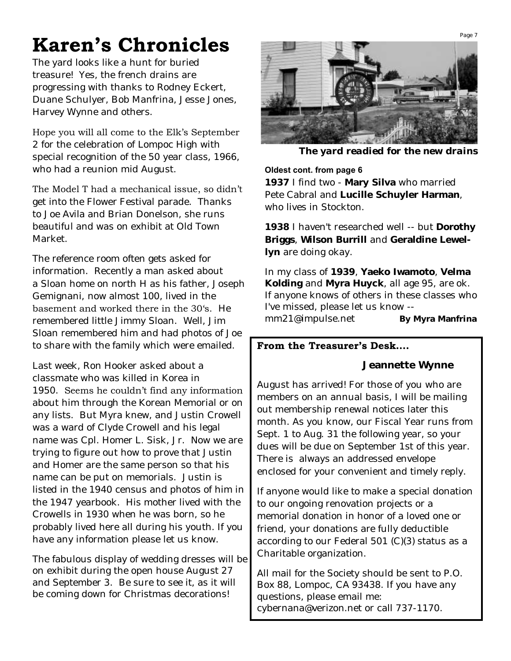# **Karen's Chronicles**

The yard looks like a hunt for buried treasure! Yes, the french drains are progressing with thanks to Rodney Eckert, Duane Schulyer, Bob Manfrina, Jesse Jones, Harvey Wynne and others.

Hope you will all come to the Elk's September

2 for the celebration of Lompoc High with special recognition of the 50 year class, 1966, who had a reunion mid August.

The Model T had a mechanical issue, so didn't

get into the Flower Festival parade. Thanks to Joe Avila and Brian Donelson, she runs beautiful and was on exhibit at Old Town Market.

The reference room often gets asked for information. Recently a man asked about a Sloan home on north H as his father, Joseph Gemignani, now almost 100, lived in the basement and worked there in the 30's. He remembered little Jimmy Sloan. Well, Jim Sloan remembered him and had photos of Joe to share with the family which were emailed.

Last week, Ron Hooker asked about a classmate who was killed in Korea in 1950. Seems he couldn't find any information about him through the Korean Memorial or on any lists. But Myra knew, and Justin Crowell was a ward of Clyde Crowell and his legal name was Cpl. Homer L. Sisk, Jr. Now we are trying to figure out how to prove that Justin and Homer are the same person so that his name can be put on memorials. Justin is listed in the 1940 census and photos of him in the 1947 yearbook. His mother lived with the Crowells in 1930 when he was born, so he probably lived here all during his youth. If you have any information please let us know.

The fabulous display of wedding dresses will be on exhibit during the open house August 27 and September 3. Be sure to see it, as it will be coming down for Christmas decorations!



*The yard readied for the new drains*

#### **Oldest cont. from page 6**

**1937** I find two - **Mary Silva** who married Pete Cabral and **Lucille Schuyler Harman**, who lives in Stockton.

**1938** I haven't researched well -- but **Dorothy Briggs**, **Wilson Burrill** and **Geraldine Lewellyn** are doing okay.

In my class of **1939**, **Yaeko Iwamoto**, **Velma Kolding** and **Myra Huyck**, all age 95, are ok. If anyone knows of others in these classes who I've missed, please let us know - [mm21@impulse.net](mailto:mm21@impulse.net) **By Myra Manfrina**

### **From the Treasurer's Desk….**

 **Jeannette Wynne**

August has arrived! For those of you who are members on an annual basis, I will be mailing out membership renewal notices later this month. As you know, our Fiscal Year runs from Sept. 1 to Aug. 31 the following year, so your dues will be due on September 1st of this year. There is always an addressed envelope enclosed for your convenient and timely reply.

If anyone would like to make a special donation to our ongoing renovation projects or a memorial donation in honor of a loved one or friend, your donations are fully deductible according to our Federal 501 (C)(3) status as a Charitable organization.

All mail for the Society should be sent to P.O. Box 88, Lompoc, CA 93438. If you have any questions, please email me: cybernana@verizon.net or call 737-1170.